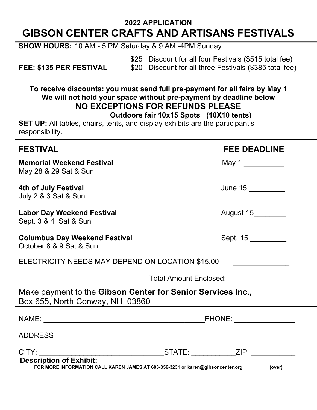# **2022 APPLICATION GIBSON CENTER CRAFTS AND ARTISANS FESTIVALS**

**SHOW HOURS:** 10 AM - 5 PM Saturday & 9 AM -4PM Sunday

\$25 Discount for all four Festivals (\$515 total fee) **FEE: \$135 PER FESTIVAL** \$20 Discount for all three Festivals (\$385 total fee)

**To receive discounts: you must send full pre-payment for all fairs by May 1 We will not hold your space without pre-payment by deadline below NO EXCEPTIONS FOR REFUNDS PLEASE Outdoors fair 10x15 Spots (10X10 tents)**

**SET UP:** All tables, chairs, tents, and display exhibits are the participant's responsibility.

| <b>FESTIVAL</b>                                                                                | <b>FEE DEADLINE</b>                         |
|------------------------------------------------------------------------------------------------|---------------------------------------------|
| <b>Memorial Weekend Festival</b><br>May 28 & 29 Sat & Sun                                      | May 1                                       |
| 4th of July Festival<br><b>July 2 &amp; 3 Sat &amp; Sun</b>                                    | June 15                                     |
| <b>Labor Day Weekend Festival</b><br>Sept. 3 & 4 Sat & Sun                                     | August 15_________                          |
| <b>Columbus Day Weekend Festival</b><br>October 8 & 9 Sat & Sun                                | Sept. 15                                    |
| ELECTRICITY NEEDS MAY DEPEND ON LOCATION \$15.00                                               |                                             |
|                                                                                                | Total Amount Enclosed: <u>_____________</u> |
| Make payment to the Gibson Center for Senior Services Inc.,<br>Box 655, North Conway, NH 03860 |                                             |
|                                                                                                |                                             |
|                                                                                                |                                             |
| FOR MORE INFORMATION CALL KAREN JAMES AT 603-356-3231 or karen@gibsoncenter.org                | (over)                                      |
|                                                                                                |                                             |